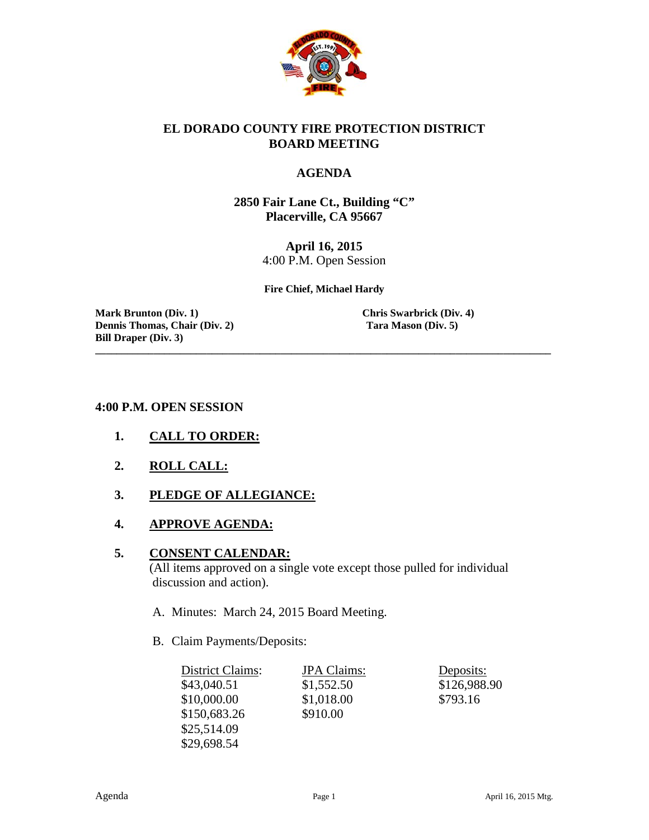

#### **EL DORADO COUNTY FIRE PROTECTION DISTRICT BOARD MEETING**

#### **AGENDA**

**2850 Fair Lane Ct., Building "C" Placerville, CA 95667**

> **April 16, 2015** 4:00 P.M. Open Session

**Fire Chief, Michael Hardy**

**\_\_\_\_\_\_\_\_\_\_\_\_\_\_\_\_\_\_\_\_\_\_\_\_\_\_\_\_\_\_\_\_\_\_\_\_\_\_\_\_\_\_\_\_\_\_\_\_\_\_\_\_\_\_\_\_\_\_\_\_\_\_\_\_\_\_\_\_\_\_\_\_\_\_\_\_\_\_\_\_\_\_\_\_\_\_**

**Mark Brunton (Div. 1) Chris Swarbrick (Div. 4) Dennis Thomas, Chair (Div. 2) Tara Mason (Div. 5) Bill Draper (Div. 3)**

#### **4:00 P.M. OPEN SESSION**

- **1. CALL TO ORDER:**
- **2. ROLL CALL:**
- **3. PLEDGE OF ALLEGIANCE:**
- **4. APPROVE AGENDA:**

#### **5. CONSENT CALENDAR:**

 (All items approved on a single vote except those pulled for individual discussion and action).

- A. Minutes: March 24, 2015 Board Meeting.
- B. Claim Payments/Deposits:

| District Claims: | <b>JPA</b> Claims: | Deposits:    |
|------------------|--------------------|--------------|
| \$43,040.51      | \$1,552.50         | \$126,988.90 |
| \$10,000.00      | \$1,018.00         | \$793.16     |
| \$150,683.26     | \$910.00           |              |
| \$25,514.09      |                    |              |
| \$29,698.54      |                    |              |